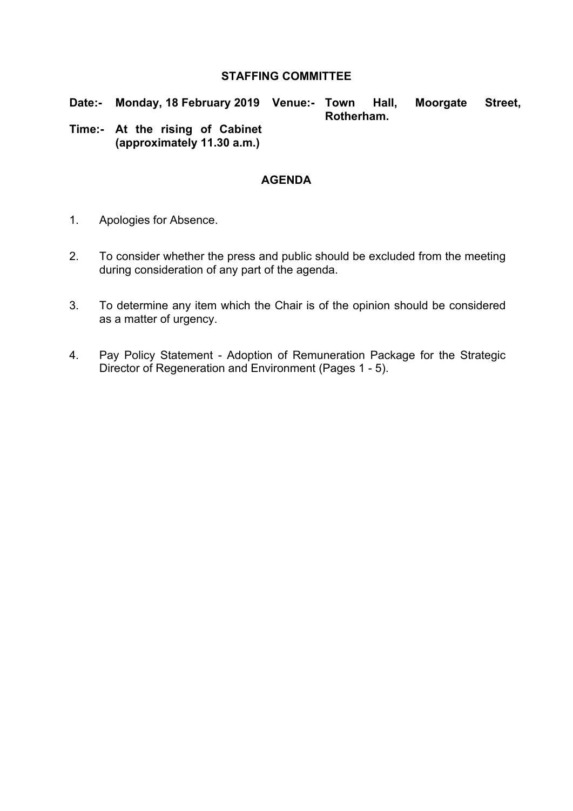#### **STAFFING COMMITTEE**

**Date:- Monday, 18 February 2019 Venue:- Town Hall, Moorgate Street, Rotherham.**

**Time:- At the rising of Cabinet (approximately 11.30 a.m.)**

#### **AGENDA**

- 1. Apologies for Absence.
- 2. To consider whether the press and public should be excluded from the meeting during consideration of any part of the agenda.
- 3. To determine any item which the Chair is of the opinion should be considered as a matter of urgency.
- 4. Pay Policy Statement Adoption of Remuneration Package for the Strategic Director of Regeneration and Environment (Pages 1 - 5).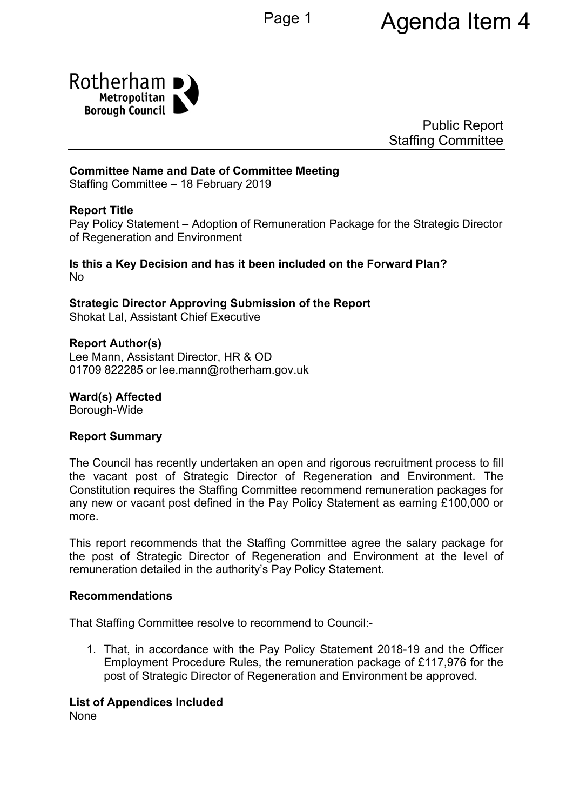

Public Report Staffing Committee

## **Committee Name and Date of Committee Meeting**

Staffing Committee – 18 February 2019

## **Report Title**

<span id="page-1-0"></span>Pay Policy Statement – Adoption of Remuneration Package for the Strategic Director of Regeneration and Environment

**Is this a Key Decision and has it been included on the Forward Plan?** No

**Strategic Director Approving Submission of the Report** Shokat Lal, Assistant Chief Executive

#### **Report Author(s)**

Lee Mann, Assistant Director, HR & OD 01709 822285 or lee.mann@rotherham.gov.uk

**Ward(s) Affected**

Borough-Wide

#### **Report Summary**

The Council has recently undertaken an open and rigorous recruitment process to fill the vacant post of Strategic Director of Regeneration and Environment. The Constitution requires the Staffing Committee recommend remuneration packages for any new or vacant post defined in the Pay Policy Statement as earning £100,000 or more.

This report recommends that the Staffing Committee agree the salary package for the post of Strategic Director of Regeneration and Environment at the level of remuneration detailed in the authority's Pay Policy Statement.

#### **Recommendations**

That Staffing Committee resolve to recommend to Council:-

1. That, in accordance with the Pay Policy Statement 2018-19 and the Officer Employment Procedure Rules, the remuneration package of £117,976 for the post of Strategic Director of Regeneration and Environment be approved.

#### **List of Appendices Included**

None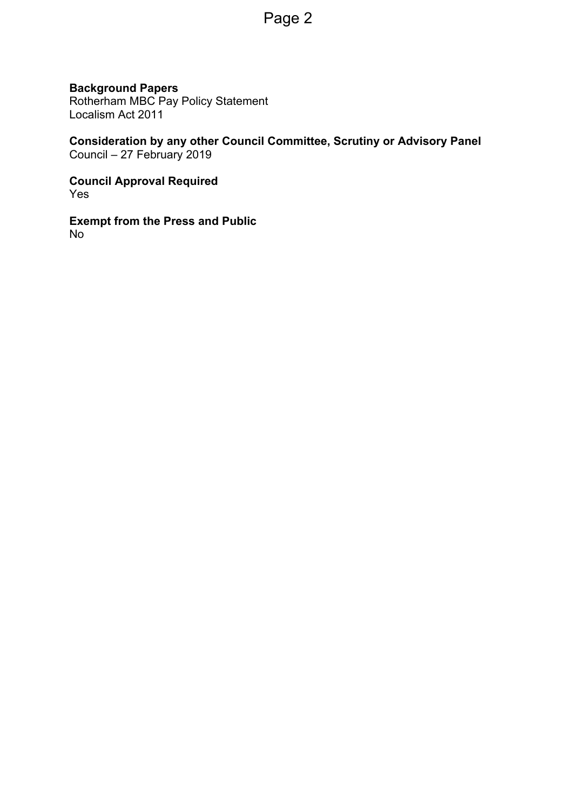## **Background Papers**

Rotherham MBC Pay Policy Statement Localism Act 2011

**Consideration by any other Council Committee, Scrutiny or Advisory Panel** Council – 27 February 2019

**Council Approval Required** Yes

**Exempt from the Press and Public** No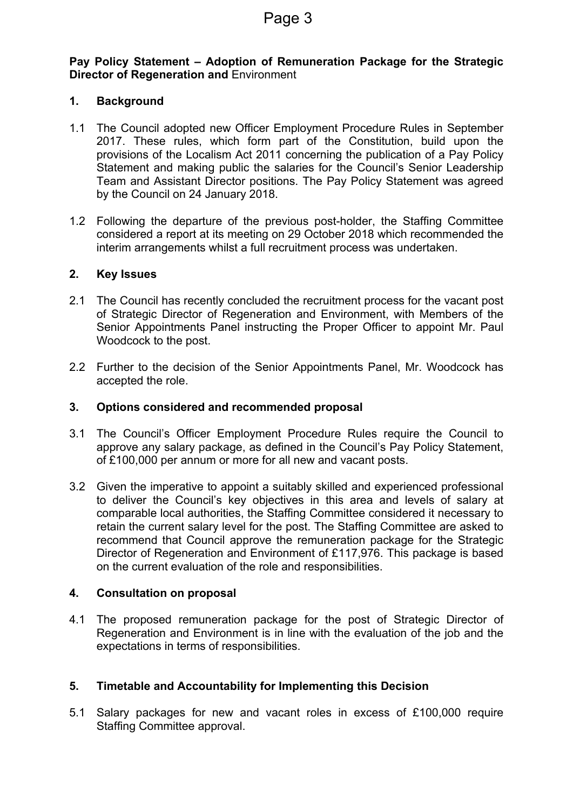### **Pay Policy Statement – Adoption of [Remuneration](#page-1-0) Package for the Strategic Director of [Regeneration](#page-1-0) and** Environment

### **1. Background**

- 1.1 The Council adopted new Officer Employment Procedure Rules in September 2017. These rules, which form part of the Constitution, build upon the provisions of the Localism Act 2011 concerning the publication of a Pay Policy Statement and making public the salaries for the Council's Senior Leadership Team and Assistant Director positions. The Pay Policy Statement was agreed by the Council on 24 January 2018.
- 1.2 Following the departure of the previous post-holder, the Staffing Committee considered a report at its meeting on 29 October 2018 which recommended the interim arrangements whilst a full recruitment process was undertaken.

#### **2. Key Issues**

- 2.1 The Council has recently concluded the recruitment process for the vacant post of Strategic Director of Regeneration and Environment, with Members of the Senior Appointments Panel instructing the Proper Officer to appoint Mr. Paul Woodcock to the post.
- 2.2 Further to the decision of the Senior Appointments Panel, Mr. Woodcock has accepted the role.

#### **3. Options considered and recommended proposal**

- 3.1 The Council's Officer Employment Procedure Rules require the Council to approve any salary package, as defined in the Council's Pay Policy Statement, of £100,000 per annum or more for all new and vacant posts.
- 3.2 Given the imperative to appoint a suitably skilled and experienced professional to deliver the Council's key objectives in this area and levels of salary at comparable local authorities, the Staffing Committee considered it necessary to retain the current salary level for the post. The Staffing Committee are asked to recommend that Council approve the remuneration package for the Strategic Director of Regeneration and Environment of £117,976. This package is based on the current evaluation of the role and responsibilities.

#### **4. Consultation on proposal**

4.1 The proposed remuneration package for the post of Strategic Director of Regeneration and Environment is in line with the evaluation of the job and the expectations in terms of responsibilities.

#### **5. Timetable and Accountability for Implementing this Decision**

5.1 Salary packages for new and vacant roles in excess of £100,000 require Staffing Committee approval.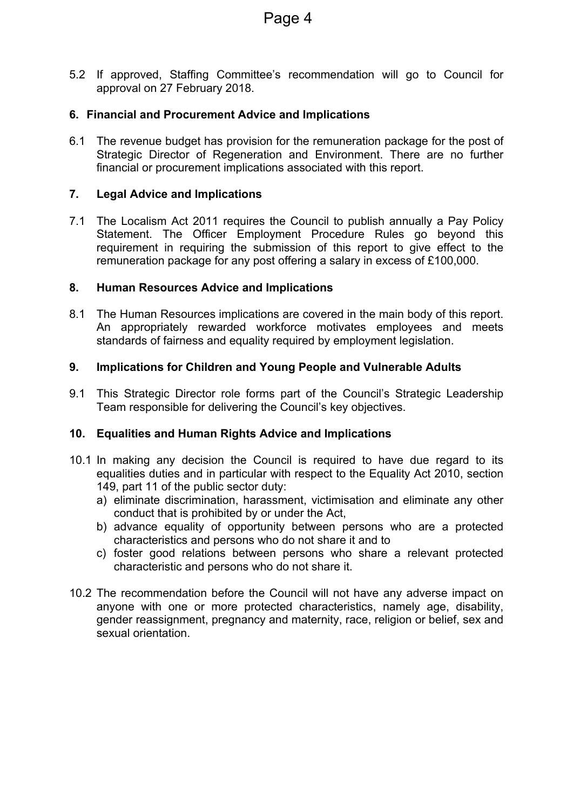5.2 If approved, Staffing Committee's recommendation will go to Council for approval on 27 February 2018.

## **6. Financial and Procurement Advice and Implications**

6.1 The revenue budget has provision for the remuneration package for the post of Strategic Director of Regeneration and Environment. There are no further financial or procurement implications associated with this report.

## **7. Legal Advice and Implications**

7.1 The Localism Act 2011 requires the Council to publish annually a Pay Policy Statement. The Officer Employment Procedure Rules go beyond this requirement in requiring the submission of this report to give effect to the remuneration package for any post offering a salary in excess of £100,000.

#### **8. Human Resources Advice and Implications**

8.1 The Human Resources implications are covered in the main body of this report. An appropriately rewarded workforce motivates employees and meets standards of fairness and equality required by employment legislation.

## **9. Implications for Children and Young People and Vulnerable Adults**

9.1 This Strategic Director role forms part of the Council's Strategic Leadership Team responsible for delivering the Council's key objectives.

#### **10. Equalities and Human Rights Advice and Implications**

- 10.1 In making any decision the Council is required to have due regard to its equalities duties and in particular with respect to the Equality Act 2010, section 149, part 11 of the public sector duty:
	- a) eliminate discrimination, harassment, victimisation and eliminate any other conduct that is prohibited by or under the Act,
	- b) advance equality of opportunity between persons who are a protected characteristics and persons who do not share it and to
	- c) foster good relations between persons who share a relevant protected characteristic and persons who do not share it.
- 10.2 The recommendation before the Council will not have any adverse impact on anyone with one or more protected characteristics, namely age, disability, gender reassignment, pregnancy and maternity, race, religion or belief, sex and sexual orientation.